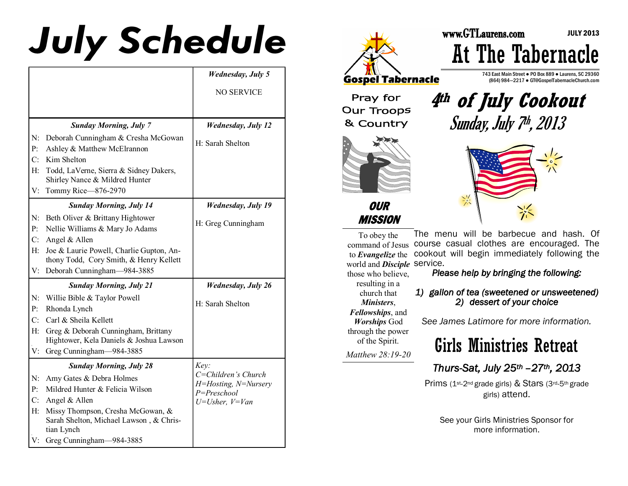# **July Schedule**

|                |                                                                                            | <b>Wednesday</b> , July 5           |
|----------------|--------------------------------------------------------------------------------------------|-------------------------------------|
|                |                                                                                            | <b>NO SERVICE</b>                   |
|                |                                                                                            |                                     |
|                |                                                                                            |                                     |
|                | <b>Sunday Morning, July 7</b>                                                              | <b>Wednesday, July 12</b>           |
| $N$ :          | Deborah Cunningham & Cresha McGowan                                                        | H: Sarah Shelton                    |
| $P$ :          | Ashley & Matthew McElrannon                                                                |                                     |
| C:             | Kim Shelton                                                                                |                                     |
| H:             | Todd, LaVerne, Sierra & Sidney Dakers,<br>Shirley Nance & Mildred Hunter                   |                                     |
| V:             | Tommy Rice-876-2970                                                                        |                                     |
|                | <b>Sunday Morning, July 14</b>                                                             | <b>Wednesday, July 19</b>           |
| N:             | Beth Oliver & Brittany Hightower                                                           |                                     |
| P <sub>i</sub> | Nellie Williams & Mary Jo Adams                                                            | H: Greg Cunningham                  |
| C:             | Angel & Allen                                                                              |                                     |
| H:             | Joe & Laurie Powell, Charlie Gupton, An-                                                   |                                     |
|                | thony Todd, Cory Smith, & Henry Kellett                                                    |                                     |
| V:             | Deborah Cunningham-984-3885                                                                |                                     |
|                | <b>Sunday Morning, July 21</b>                                                             | <b>Wednesday</b> , July 26          |
| N:             | Willie Bible & Taylor Powell                                                               | H: Sarah Shelton                    |
| $P$ :          | Rhonda Lynch                                                                               |                                     |
| C:             | Carl & Sheila Kellett                                                                      |                                     |
| H:             | Greg & Deborah Cunningham, Brittany                                                        |                                     |
|                | Hightower, Kela Daniels & Joshua Lawson                                                    |                                     |
| V:             | Greg Cunningham-984-3885                                                                   |                                     |
|                | <b>Sunday Morning, July 28</b>                                                             | Key:                                |
| N:             | Amy Gates & Debra Holmes                                                                   | C=Children's Church                 |
| P <sub>i</sub> | Mildred Hunter & Felicia Wilson                                                            | H=Hosting, N=Nursery<br>P=Preschool |
| C:             | Angel & Allen                                                                              | $U=Usher, V=Van$                    |
| $H$ :          | Missy Thompson, Cresha McGowan, &<br>Sarah Shelton, Michael Lawson, & Chris-<br>tian Lynch |                                     |
| V:             | Greg Cunningham-984-3885                                                                   |                                     |



Pray for **Our Troops** & Country



At The Tabernacle

743 East Main Street ● PO Box 889 ● Laurens, SC 29360 (864) 984—2217 ● GT@GospelTabernacleChurch.com

JULY 2013



**OUR MISSION** 



To obey the command of Jesus course casual clothes are encouraged. The to *Evangelize* the world and *Disciple*  service. The menu will be barbecue and hash. Of cookout will begin immediately following the

those who believe, resulting in a church that *Ministers*, *Fellowships*, and *Worships* God through the power of the Spirit.

*Matthew 28:19-20* 

#### *Please help by bringing the following:*

#### *1) gallon of tea (sweetened or unsweetened) 2) dessert of your choice*

*See James Latimore for more information.*

### Girls Ministries Retreat

#### *Thurs-Sat, July 25th –27th, 2013*

Prims (1<sup>st</sup>-2<sup>nd</sup> grade girls) & Stars (3rd-5<sup>th</sup> grade girls) attend.

See your Girls Ministries Sponsor for more information.